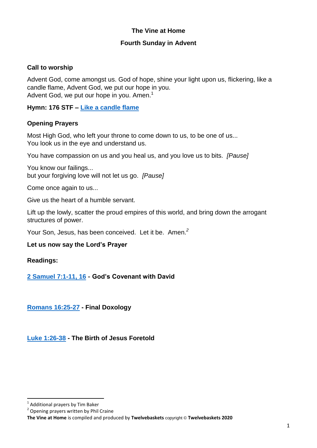## **The Vine at Home**

#### **Fourth Sunday in Advent**

### **Call to worship**

Advent God, come amongst us. God of hope, shine your light upon us, flickering, like a candle flame, Advent God, we put our hope in you. Advent God, we put our hope in you. Amen.<sup>1</sup>

**Hymn: 176 STF – [Like a candle flame](https://www.youtube.com/watch?v=TGAXlGBB10M)**

#### **Opening Prayers**

Most High God, who left your throne to come down to us, to be one of us... You look us in the eye and understand us.

You have compassion on us and you heal us, and you love us to bits. *[Pause]*

You know our failings... but your forgiving love will not let us go. *[Pause]*

Come once again to us...

Give us the heart of a humble servant.

Lift up the lowly, scatter the proud empires of this world, and bring down the arrogant structures of power.

Your Son, Jesus, has been conceived. Let it be. Amen. *2*

#### **Let us now say the Lord's Prayer**

**Readings:**

**[2 Samuel 7:1-11, 16](https://www.biblegateway.com/passage/?search=2+Samuel+7%3A1-11%2C+16+&version=NIV) - God's Covenant with David**

**[Romans 16:25-27](https://www.biblegateway.com/passage/?search=Romans+16%3A25-27+&version=NIV) - Final Doxology**

**[Luke 1:26-38](https://www.biblegateway.com/passage/?search=Luke+1%3A26-38+&version=NIV) - The Birth of Jesus Foretold**

**The Vine at Home** is compiled and produced by **Twelvebaskets** copyright © **Twelvebaskets 2020**

<sup>&</sup>lt;u>.</u><br><sup>1</sup> Additional prayers by Tim Baker

<sup>&</sup>lt;sup>2</sup> Opening prayers written by Phil Craine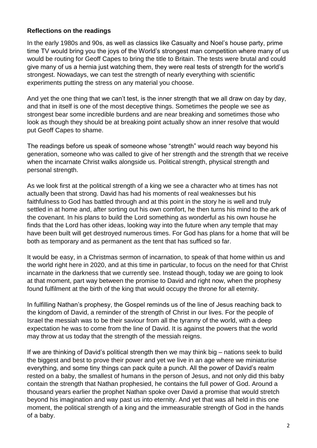## **Reflections on the readings**

In the early 1980s and 90s, as well as classics like Casualty and Noel's house party, prime time TV would bring you the joys of the World's strongest man competition where many of us would be routing for Geoff Capes to bring the title to Britain. The tests were brutal and could give many of us a hernia just watching them, they were real tests of strength for the world's strongest. Nowadays, we can test the strength of nearly everything with scientific experiments putting the stress on any material you choose.

And yet the one thing that we can't test, is the inner strength that we all draw on day by day, and that in itself is one of the most deceptive things. Sometimes the people we see as strongest bear some incredible burdens and are near breaking and sometimes those who look as though they should be at breaking point actually show an inner resolve that would put Geoff Capes to shame.

The readings before us speak of someone whose "strength" would reach way beyond his generation, someone who was called to give of her strength and the strength that we receive when the incarnate Christ walks alongside us. Political strength, physical strength and personal strength.

As we look first at the political strength of a king we see a character who at times has not actually been that strong. David has had his moments of real weaknesses but his faithfulness to God has battled through and at this point in the story he is well and truly settled in at home and, after sorting out his own comfort, he then turns his mind to the ark of the covenant. In his plans to build the Lord something as wonderful as his own house he finds that the Lord has other ideas, looking way into the future when any temple that may have been built will get destroyed numerous times. For God has plans for a home that will be both as temporary and as permanent as the tent that has sufficed so far.

It would be easy, in a Christmas sermon of incarnation, to speak of that home within us and the world right here in 2020, and at this time in particular, to focus on the need for that Christ incarnate in the darkness that we currently see. Instead though, today we are going to look at that moment, part way between the promise to David and right now, when the prophesy found fulfilment at the birth of the king that would occupy the throne for all eternity.

In fulfilling Nathan's prophesy, the Gospel reminds us of the line of Jesus reaching back to the kingdom of David, a reminder of the strength of Christ in our lives. For the people of Israel the messiah was to be their saviour from all the tyranny of the world, with a deep expectation he was to come from the line of David. It is against the powers that the world may throw at us today that the strength of the messiah reigns.

If we are thinking of David's political strength then we may think big – nations seek to build the biggest and best to prove their power and yet we live in an age where we miniaturise everything, and some tiny things can pack quite a punch. All the power of David's realm rested on a baby, the smallest of humans in the person of Jesus, and not only did this baby contain the strength that Nathan prophesied, he contains the full power of God. Around a thousand years earlier the prophet Nathan spoke over David a promise that would stretch beyond his imagination and way past us into eternity. And yet that was all held in this one moment, the political strength of a king and the immeasurable strength of God in the hands of a baby.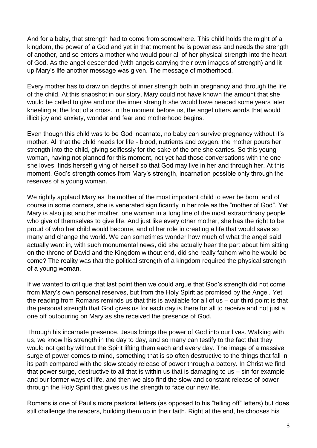And for a baby, that strength had to come from somewhere. This child holds the might of a kingdom, the power of a God and yet in that moment he is powerless and needs the strength of another, and so enters a mother who would pour all of her physical strength into the heart of God. As the angel descended (with angels carrying their own images of strength) and lit up Mary's life another message was given. The message of motherhood.

Every mother has to draw on depths of inner strength both in pregnancy and through the life of the child. At this snapshot in our story, Mary could not have known the amount that she would be called to give and nor the inner strength she would have needed some years later kneeling at the foot of a cross. In the moment before us, the angel utters words that would illicit joy and anxiety, wonder and fear and motherhood begins.

Even though this child was to be God incarnate, no baby can survive pregnancy without it's mother. All that the child needs for life - blood, nutrients and oxygen, the mother pours her strength into the child, giving selflessly for the sake of the one she carries. So this young woman, having not planned for this moment, not yet had those conversations with the one she loves, finds herself giving of herself so that God may live in her and through her. At this moment, God's strength comes from Mary's strength, incarnation possible only through the reserves of a young woman.

We rightly applaud Mary as the mother of the most important child to ever be born, and of course in some corners, she is venerated significantly in her role as the "mother of God". Yet Mary is also just another mother, one woman in a long line of the most extraordinary people who give of themselves to give life. And just like every other mother, she has the right to be proud of who her child would become, and of her role in creating a life that would save so many and change the world. We can sometimes wonder how much of what the angel said actually went in, with such monumental news, did she actually hear the part about him sitting on the throne of David and the Kingdom without end, did she really fathom who he would be come? The reality was that the political strength of a kingdom required the physical strength of a young woman.

If we wanted to critique that last point then we could argue that God's strength did not come from Mary's own personal reserves, but from the Holy Spirit as promised by the Angel. Yet the reading from Romans reminds us that this is available for all of us – our third point is that the personal strength that God gives us for each day is there for all to receive and not just a one off outpouring on Mary as she received the presence of God.

Through his incarnate presence, Jesus brings the power of God into our lives. Walking with us, we know his strength in the day to day, and so many can testify to the fact that they would not get by without the Spirit lifting them each and every day. The image of a massive surge of power comes to mind, something that is so often destructive to the things that fall in its path compared with the slow steady release of power through a battery. In Christ we find that power surge, destructive to all that is within us that is damaging to us – sin for example and our former ways of life, and then we also find the slow and constant release of power through the Holy Spirit that gives us the strength to face our new life.

Romans is one of Paul's more pastoral letters (as opposed to his "telling off" letters) but does still challenge the readers, building them up in their faith. Right at the end, he chooses his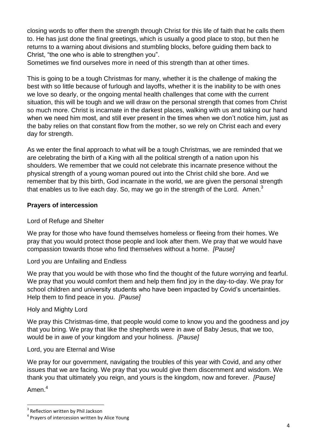closing words to offer them the strength through Christ for this life of faith that he calls them to. He has just done the final greetings, which is usually a good place to stop, but then he returns to a warning about divisions and stumbling blocks, before guiding them back to Christ, "the one who is able to strengthen you".

Sometimes we find ourselves more in need of this strength than at other times.

This is going to be a tough Christmas for many, whether it is the challenge of making the best with so little because of furlough and layoffs, whether it is the inability to be with ones we love so dearly, or the ongoing mental health challenges that come with the current situation, this will be tough and we will draw on the personal strength that comes from Christ so much more. Christ is incarnate in the darkest places, walking with us and taking our hand when we need him most, and still ever present in the times when we don't notice him, just as the baby relies on that constant flow from the mother, so we rely on Christ each and every day for strength.

As we enter the final approach to what will be a tough Christmas, we are reminded that we are celebrating the birth of a King with all the political strength of a nation upon his shoulders. We remember that we could not celebrate this incarnate presence without the physical strength of a young woman poured out into the Christ child she bore. And we remember that by this birth, God incarnate in the world, we are given the personal strength that enables us to live each day. So, may we go in the strength of the Lord. Amen. $3$ 

## **Prayers of intercession**

# Lord of Refuge and Shelter

We pray for those who have found themselves homeless or fleeing from their homes. We pray that you would protect those people and look after them. We pray that we would have compassion towards those who find themselves without a home. *[Pause]*

Lord you are Unfailing and Endless

We pray that you would be with those who find the thought of the future worrying and fearful. We pray that you would comfort them and help them find joy in the day-to-day. We pray for school children and university students who have been impacted by Covid's uncertainties. Help them to find peace in you. *[Pause]*

Holy and Mighty Lord

We pray this Christmas-time, that people would come to know you and the goodness and joy that you bring. We pray that like the shepherds were in awe of Baby Jesus, that we too, would be in awe of your kingdom and your holiness. *[Pause]*

Lord, you are Eternal and Wise

We pray for our government, navigating the troubles of this year with Covid, and any other issues that we are facing. We pray that you would give them discernment and wisdom. We thank you that ultimately you reign, and yours is the kingdom, now and forever. *[Pause]*

Amen.<sup>4</sup>

**<sup>.</sup>** 3 Reflection written by Phil Jackson

<sup>&</sup>lt;sup>4</sup> Prayers of intercession written by Alice Young